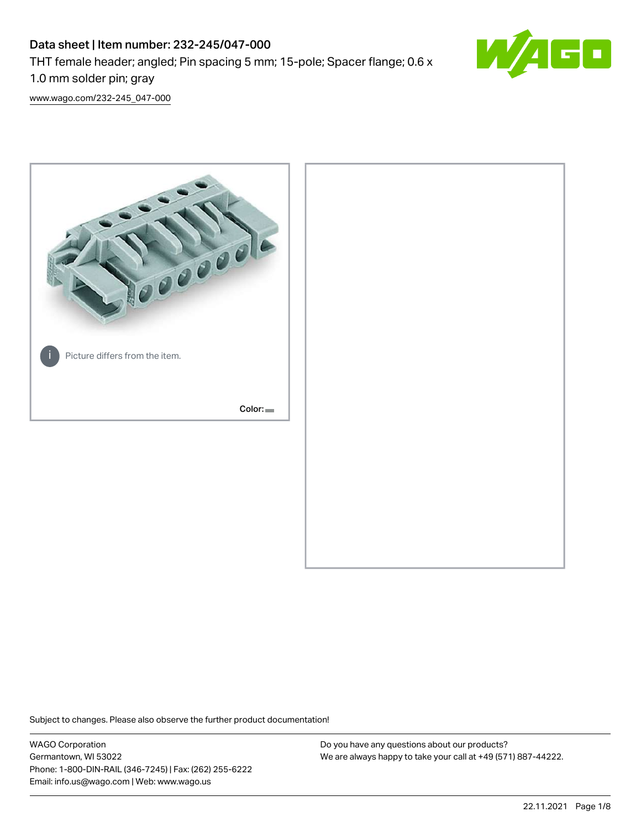# Data sheet | Item number: 232-245/047-000 THT female header; angled; Pin spacing 5 mm; 15-pole; Spacer flange; 0.6 x 1.0 mm solder pin; gray



[www.wago.com/232-245\\_047-000](http://www.wago.com/232-245_047-000)



Subject to changes. Please also observe the further product documentation!

WAGO Corporation Germantown, WI 53022 Phone: 1-800-DIN-RAIL (346-7245) | Fax: (262) 255-6222 Email: info.us@wago.com | Web: www.wago.us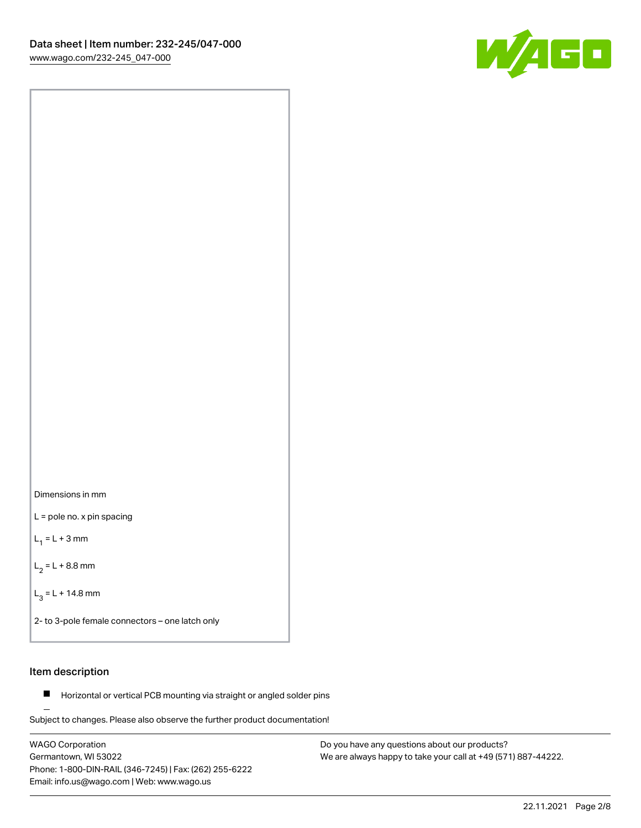



L = pole no. x pin spacing

 $L_1 = L + 3$  mm

 $L_2 = L + 8.8$  mm

 $L_3 = L + 14.8$  mm

2- to 3-pole female connectors – one latch only

# Item description

**Horizontal or vertical PCB mounting via straight or angled solder pins** 

Subject to changes. Please also observe the further product documentation! For board-to-board and board-to-wire connections

WAGO Corporation Germantown, WI 53022 Phone: 1-800-DIN-RAIL (346-7245) | Fax: (262) 255-6222 Email: info.us@wago.com | Web: www.wago.us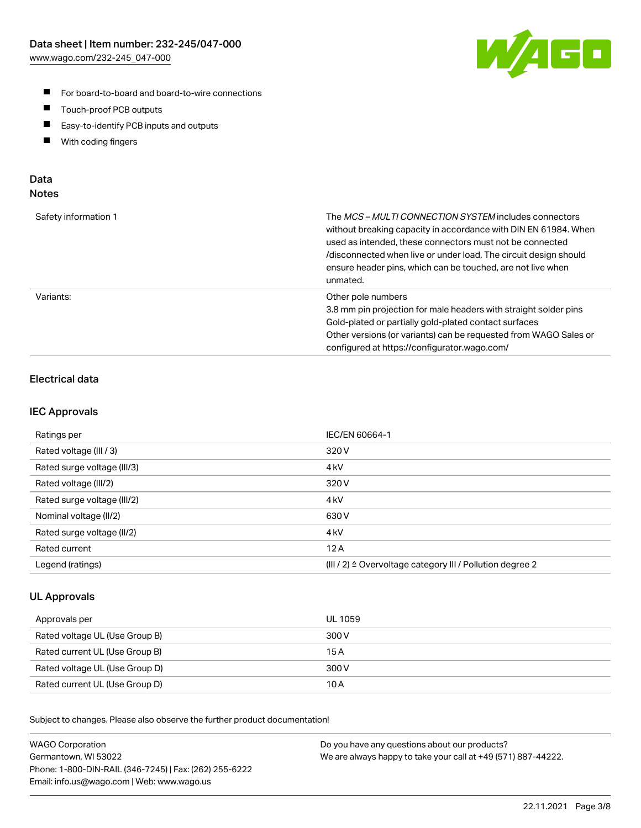

- For board-to-board and board-to-wire connections
- $\blacksquare$ Touch-proof PCB outputs
- $\blacksquare$ Easy-to-identify PCB inputs and outputs
- $\blacksquare$ With coding fingers

# Data **Notes**

| Safety information 1 | The <i>MCS – MULTI CONNECTION SYSTEM</i> includes connectors<br>without breaking capacity in accordance with DIN EN 61984. When<br>used as intended, these connectors must not be connected<br>/disconnected when live or under load. The circuit design should<br>ensure header pins, which can be touched, are not live when<br>unmated. |
|----------------------|--------------------------------------------------------------------------------------------------------------------------------------------------------------------------------------------------------------------------------------------------------------------------------------------------------------------------------------------|
| Variants:            | Other pole numbers<br>3.8 mm pin projection for male headers with straight solder pins<br>Gold-plated or partially gold-plated contact surfaces<br>Other versions (or variants) can be requested from WAGO Sales or<br>configured at https://configurator.wago.com/                                                                        |

# Electrical data

# IEC Approvals

| Ratings per                 | IEC/EN 60664-1                                                        |
|-----------------------------|-----------------------------------------------------------------------|
| Rated voltage (III / 3)     | 320 V                                                                 |
| Rated surge voltage (III/3) | 4 <sub>k</sub> V                                                      |
| Rated voltage (III/2)       | 320 V                                                                 |
| Rated surge voltage (III/2) | 4 <sub>k</sub> V                                                      |
| Nominal voltage (II/2)      | 630 V                                                                 |
| Rated surge voltage (II/2)  | 4 <sub>kV</sub>                                                       |
| Rated current               | 12A                                                                   |
| Legend (ratings)            | $(III / 2)$ $\triangle$ Overvoltage category III / Pollution degree 2 |

# UL Approvals

| Approvals per                  | UL 1059 |
|--------------------------------|---------|
| Rated voltage UL (Use Group B) | 300 V   |
| Rated current UL (Use Group B) | 15 A    |
| Rated voltage UL (Use Group D) | 300 V   |
| Rated current UL (Use Group D) | 10 A    |

Subject to changes. Please also observe the further product documentation!

| <b>WAGO Corporation</b>                                | Do you have any questions about our products?                 |
|--------------------------------------------------------|---------------------------------------------------------------|
| Germantown, WI 53022                                   | We are always happy to take your call at +49 (571) 887-44222. |
| Phone: 1-800-DIN-RAIL (346-7245)   Fax: (262) 255-6222 |                                                               |
| Email: info.us@wago.com   Web: www.wago.us             |                                                               |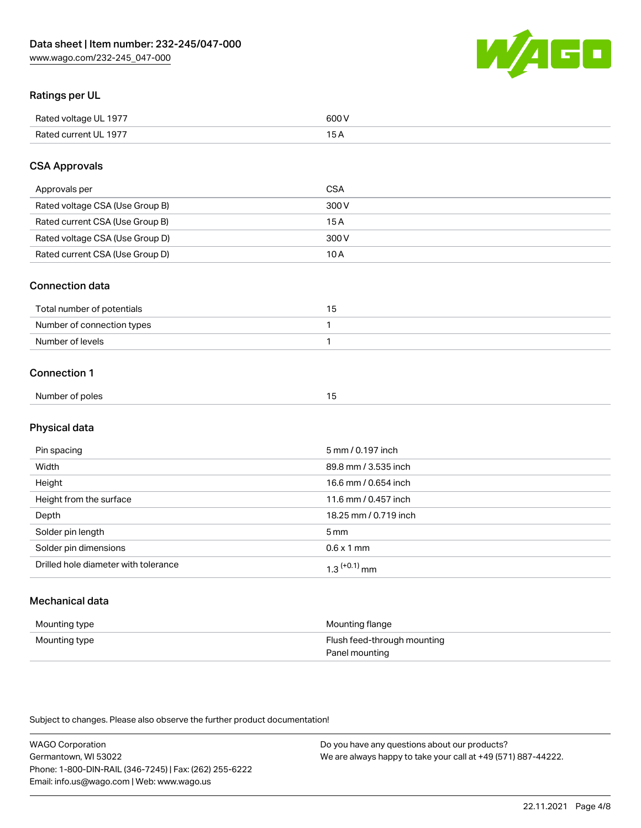

# Ratings per UL

| Rated voltage UL 1977 | 600   |
|-----------------------|-------|
| Rated current UL 1977 | . O F |

# CSA Approvals

| Approvals per                   | CSA   |
|---------------------------------|-------|
| Rated voltage CSA (Use Group B) | 300 V |
| Rated current CSA (Use Group B) | 15 A  |
| Rated voltage CSA (Use Group D) | 300 V |
| Rated current CSA (Use Group D) | 10 A  |

#### Connection data

| Total number of potentials |  |
|----------------------------|--|
| Number of connection types |  |
| Number of levels           |  |

#### Connection 1

| Number of poles | . . |
|-----------------|-----|
|                 |     |

# Physical data

| Pin spacing                          | 5 mm / 0.197 inch          |
|--------------------------------------|----------------------------|
| Width                                | 89.8 mm / 3.535 inch       |
| Height                               | 16.6 mm / 0.654 inch       |
| Height from the surface              | 11.6 mm / 0.457 inch       |
| Depth                                | 18.25 mm / 0.719 inch      |
| Solder pin length                    | $5 \,\mathrm{mm}$          |
| Solder pin dimensions                | $0.6 \times 1$ mm          |
| Drilled hole diameter with tolerance | $1.3$ <sup>(+0.1)</sup> mm |

# Mechanical data

| Mounting type | Mounting flange             |
|---------------|-----------------------------|
| Mounting type | Flush feed-through mounting |
|               | Panel mounting              |

Subject to changes. Please also observe the further product documentation!

| <b>WAGO Corporation</b>                                | Do you have any questions about our products?                 |
|--------------------------------------------------------|---------------------------------------------------------------|
| Germantown, WI 53022                                   | We are always happy to take your call at +49 (571) 887-44222. |
| Phone: 1-800-DIN-RAIL (346-7245)   Fax: (262) 255-6222 |                                                               |
| Email: info.us@wago.com   Web: www.wago.us             |                                                               |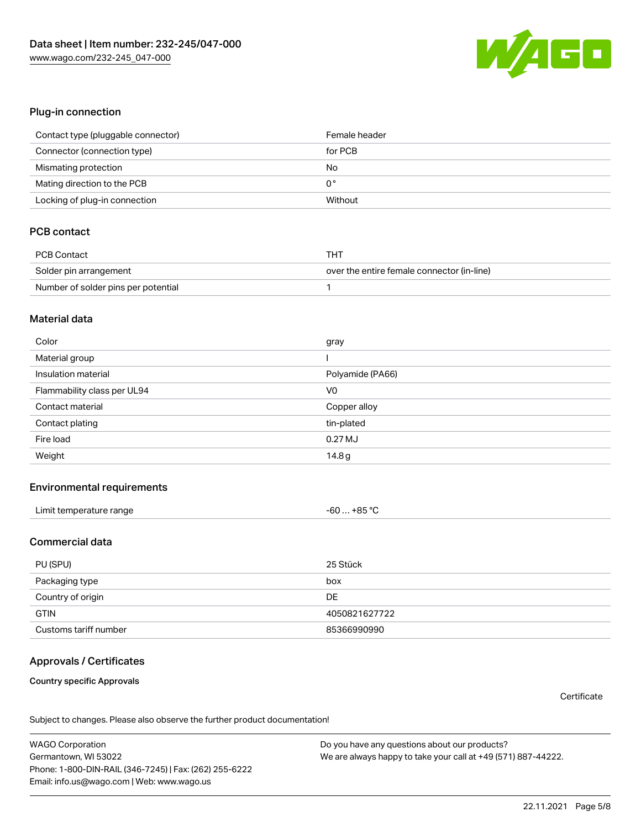

#### Plug-in connection

| Contact type (pluggable connector) | Female header |
|------------------------------------|---------------|
| Connector (connection type)        | for PCB       |
| Mismating protection               | No            |
| Mating direction to the PCB        | 0°            |
| Locking of plug-in connection      | Without       |

# PCB contact

| PCB Contact                         | тнт                                        |
|-------------------------------------|--------------------------------------------|
| Solder pin arrangement              | over the entire female connector (in-line) |
| Number of solder pins per potential |                                            |

#### Material data

| Color                       | gray             |
|-----------------------------|------------------|
| Material group              |                  |
| Insulation material         | Polyamide (PA66) |
| Flammability class per UL94 | V <sub>0</sub>   |
| Contact material            | Copper alloy     |
| Contact plating             | tin-plated       |
| Fire load                   | 0.27 MJ          |
| Weight                      | 14.8g            |

#### Environmental requirements

| Limit temperature range | $-60+85 °C$ |  |
|-------------------------|-------------|--|
|-------------------------|-------------|--|

### Commercial data

| PU (SPU)              | 25 Stück      |
|-----------------------|---------------|
| Packaging type        | box           |
| Country of origin     | <b>DE</b>     |
| <b>GTIN</b>           | 4050821627722 |
| Customs tariff number | 85366990990   |

# Approvals / Certificates

#### Country specific Approvals

**Certificate** 

Subject to changes. Please also observe the further product documentation!

WAGO Corporation Germantown, WI 53022 Phone: 1-800-DIN-RAIL (346-7245) | Fax: (262) 255-6222 Email: info.us@wago.com | Web: www.wago.us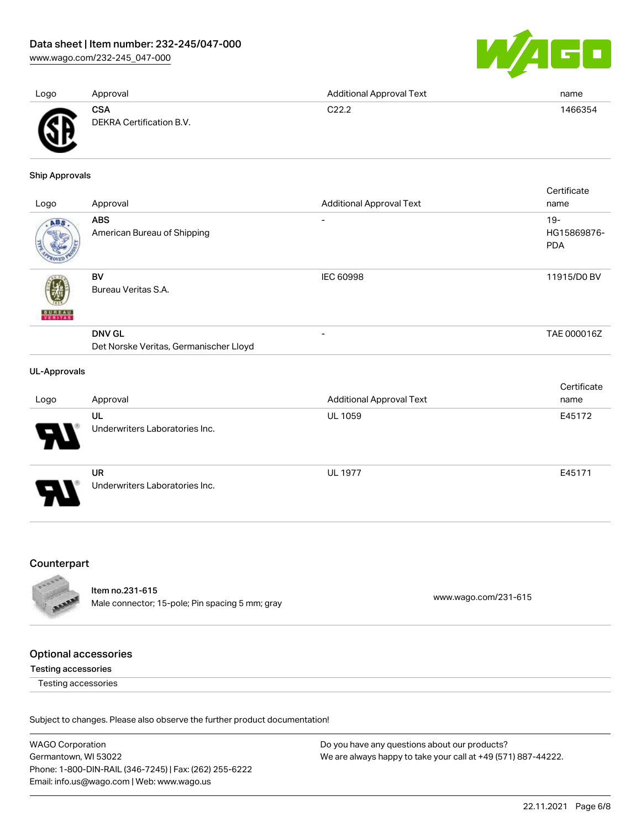[www.wago.com/232-245\\_047-000](http://www.wago.com/232-245_047-000)



| Logo     | Approval                               | <b>Additional Approval Text</b> | name    |
|----------|----------------------------------------|---------------------------------|---------|
| Ж<br>. . | <b>CSA</b><br>DEKRA Certification B.V. | C22.2                           | 1466354 |

Ship Approvals

|                     |                                        |                                 | Certificate |
|---------------------|----------------------------------------|---------------------------------|-------------|
| Logo                | Approval                               | <b>Additional Approval Text</b> | name        |
| ABS                 | <b>ABS</b>                             | $\overline{\phantom{0}}$        | $19 -$      |
|                     | American Bureau of Shipping            |                                 | HG15869876- |
|                     |                                        |                                 | <b>PDA</b>  |
|                     |                                        |                                 |             |
|                     | BV                                     | IEC 60998                       | 11915/D0 BV |
|                     | Bureau Veritas S.A.                    |                                 |             |
|                     |                                        |                                 |             |
| <b>BUREAU</b>       |                                        |                                 |             |
|                     | <b>DNV GL</b>                          | -                               | TAE 000016Z |
|                     | Det Norske Veritas, Germanischer Lloyd |                                 |             |
|                     |                                        |                                 |             |
| <b>UL-Approvals</b> |                                        |                                 |             |
|                     |                                        |                                 | Certificate |
|                     |                                        |                                 |             |

| Logo | Approval                             | <b>Additional Approval Text</b> | name   |
|------|--------------------------------------|---------------------------------|--------|
| 8    | UL<br>Underwriters Laboratories Inc. | <b>UL 1059</b>                  | E45172 |
|      | <b>UR</b>                            | <b>UL 1977</b>                  | E45171 |
| o    | Underwriters Laboratories Inc.       |                                 |        |

#### Counterpart

Item no.231-615 nem 10.231-615<br>Male connector; 15-pole; Pin spacing 5 mm; gray [www.wago.com/231-615](https://www.wago.com/231-615)

# Optional accessories

Testing accessories

Testing accessories

Subject to changes. Please also observe the further product documentation!

WAGO Corporation Germantown, WI 53022 Phone: 1-800-DIN-RAIL (346-7245) | Fax: (262) 255-6222 Email: info.us@wago.com | Web: www.wago.us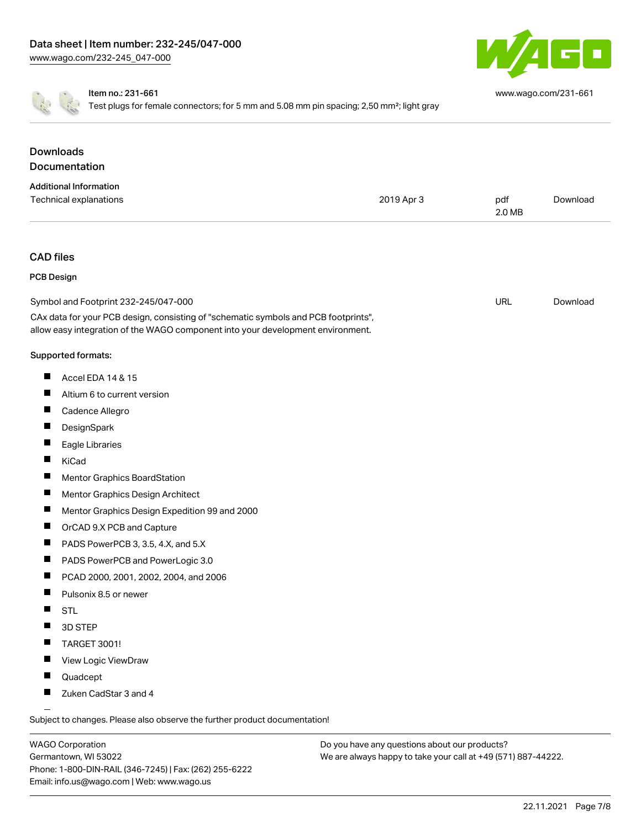

[www.wago.com/231-661](http://www.wago.com/231-661)

Item no.: 231-661

Test plugs for female connectors; for 5 mm and 5.08 mm pin spacing; 2,50 mm<sup>2</sup>; light gray

|                   | <b>Downloads</b>                                                                                                                                                       |            |               |          |
|-------------------|------------------------------------------------------------------------------------------------------------------------------------------------------------------------|------------|---------------|----------|
|                   | Documentation                                                                                                                                                          |            |               |          |
|                   | <b>Additional Information</b>                                                                                                                                          |            |               |          |
|                   | Technical explanations                                                                                                                                                 | 2019 Apr 3 | pdf<br>2.0 MB | Download |
| <b>CAD files</b>  |                                                                                                                                                                        |            |               |          |
| <b>PCB Design</b> |                                                                                                                                                                        |            |               |          |
|                   | Symbol and Footprint 232-245/047-000                                                                                                                                   |            | URL           | Download |
|                   | CAx data for your PCB design, consisting of "schematic symbols and PCB footprints",<br>allow easy integration of the WAGO component into your development environment. |            |               |          |
|                   | Supported formats:                                                                                                                                                     |            |               |          |
| ш                 | Accel EDA 14 & 15                                                                                                                                                      |            |               |          |
| ш                 | Altium 6 to current version                                                                                                                                            |            |               |          |
| ш                 | Cadence Allegro                                                                                                                                                        |            |               |          |
| ш                 | DesignSpark                                                                                                                                                            |            |               |          |
|                   | Eagle Libraries                                                                                                                                                        |            |               |          |
| H.                | KiCad                                                                                                                                                                  |            |               |          |
| ш                 | Mentor Graphics BoardStation                                                                                                                                           |            |               |          |
|                   | Mentor Graphics Design Architect                                                                                                                                       |            |               |          |
| ш                 | Mentor Graphics Design Expedition 99 and 2000                                                                                                                          |            |               |          |
| ш                 | OrCAD 9.X PCB and Capture                                                                                                                                              |            |               |          |
|                   | PADS PowerPCB 3, 3.5, 4.X, and 5.X                                                                                                                                     |            |               |          |
| ш                 | PADS PowerPCB and PowerLogic 3.0                                                                                                                                       |            |               |          |
| ш                 | PCAD 2000, 2001, 2002, 2004, and 2006                                                                                                                                  |            |               |          |
| ш                 | Pulsonix 8.5 or newer                                                                                                                                                  |            |               |          |
|                   | <b>STL</b>                                                                                                                                                             |            |               |          |
|                   | 3D STEP                                                                                                                                                                |            |               |          |
|                   | TARGET 3001!                                                                                                                                                           |            |               |          |
| ш                 | View Logic ViewDraw                                                                                                                                                    |            |               |          |
|                   | Quadcept                                                                                                                                                               |            |               |          |
|                   | Zuken CadStar 3 and 4                                                                                                                                                  |            |               |          |

Subject to changes. Please also observe the further product documentation!

WAGO Corporation Germantown, WI 53022 Phone: 1-800-DIN-RAIL (346-7245) | Fax: (262) 255-6222 Email: info.us@wago.com | Web: www.wago.us